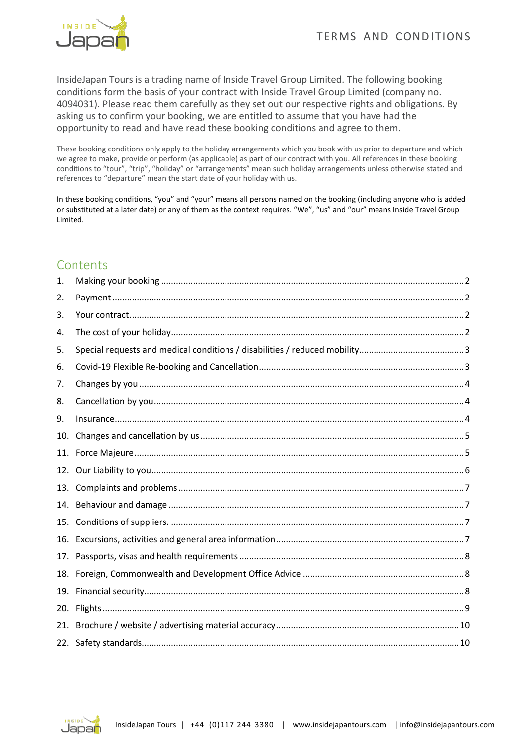

InsideJapan Tours is a trading name of Inside Travel Group Limited. The following booking conditions form the basis of your contract with Inside Travel Group Limited (company no. 4094031). Please read them carefully as they set out our respective rights and obligations. By asking us to confirm your booking, we are entitled to assume that you have had the opportunity to read and have read these booking conditions and agree to them.

These booking conditions only apply to the holiday arrangements which you book with us prior to departure and which we agree to make, provide or perform (as applicable) as part of our contract with you. All references in these booking conditions to "tour", "trip", "holiday" or "arrangements" mean such holiday arrangements unless otherwise stated and references to "departure" mean the start date of your holiday with us.

In these booking conditions, "you" and "your" means all persons named on the booking (including anyone who is added or substituted at a later date) or any of them as the context requires. "We", "us" and "our" means Inside Travel Group Limited.

# **Contents**

| 1.  |  |
|-----|--|
| 2.  |  |
| 3.  |  |
| 4.  |  |
| 5.  |  |
| 6.  |  |
| 7.  |  |
| 8.  |  |
| 9.  |  |
| 10. |  |
| 11. |  |
| 12. |  |
| 13. |  |
| 14. |  |
| 15. |  |
| 16. |  |
| 17. |  |
| 18. |  |
| 19. |  |
| 20. |  |
| 21. |  |
|     |  |

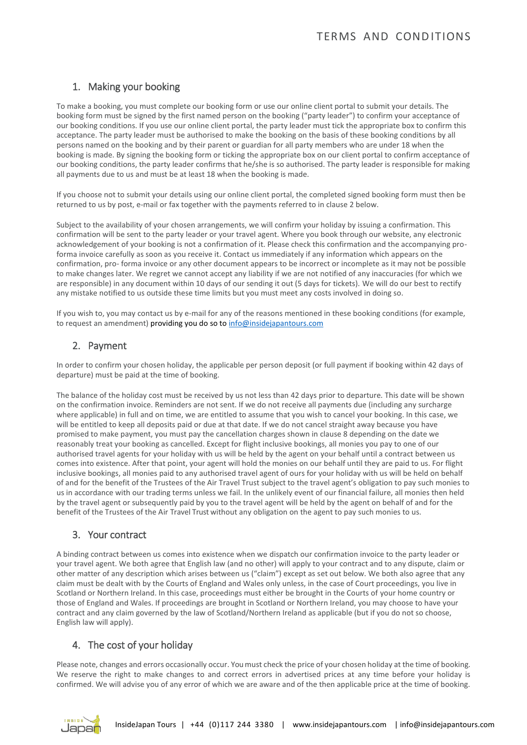# TERMS AND CONDITIONS

## <span id="page-1-0"></span>1. Making your booking

To make a booking, you must complete our booking form or use our online client portal to submit your details. The booking form must be signed by the first named person on the booking ("party leader") to confirm your acceptance of our booking conditions. If you use our online client portal, the party leader must tick the appropriate box to confirm this acceptance. The party leader must be authorised to make the booking on the basis of these booking conditions by all persons named on the booking and by their parent or guardian for all party members who are under 18 when the booking is made. By signing the booking form or ticking the appropriate box on our client portal to confirm acceptance of our booking conditions, the party leader confirms that he/she is so authorised. The party leader is responsible for making all payments due to us and must be at least 18 when the booking is made.

If you choose not to submit your details using our online client portal, the completed signed booking form must then be returned to us by post, e-mail or fax together with the payments referred to in clause 2 below.

Subject to the availability of your chosen arrangements, we will confirm your holiday by issuing a confirmation. This confirmation will be sent to the party leader or your travel agent. Where you book through our website, any electronic acknowledgement of your booking is not a confirmation of it. Please check this confirmation and the accompanying proforma invoice carefully as soon as you receive it. Contact us immediately if any information which appears on the confirmation, pro- forma invoice or any other document appears to be incorrect or incomplete as it may not be possible to make changes later. We regret we cannot accept any liability if we are not notified of any inaccuracies (for which we are responsible) in any document within 10 days of our sending it out (5 days for tickets). We will do our best to rectify any mistake notified to us outside these time limits but you must meet any costs involved in doing so.

<span id="page-1-1"></span>If you wish to, you may contact us by e-mail for any of the reasons mentioned in these booking conditions (for example, to request an amendment) providing you do so t[o info@insidejapantours.com](mailto:info@insidejapantours.com)

### 2. Payment

In order to confirm your chosen holiday, the applicable per person deposit (or full payment if booking within 42 days of departure) must be paid at the time of booking.

The balance of the holiday cost must be received by us not less than 42 days prior to departure. This date will be shown on the confirmation invoice. Reminders are not sent. If we do not receive all payments due (including any surcharge where applicable) in full and on time, we are entitled to assume that you wish to cancel your booking. In this case, we will be entitled to keep all deposits paid or due at that date. If we do not cancel straight away because you have promised to make payment, you must pay the cancellation charges shown in clause 8 depending on the date we reasonably treat your booking as cancelled. Except for flight inclusive bookings, all monies you pay to one of our authorised travel agents for your holiday with us will be held by the agent on your behalf until a contract between us comes into existence. After that point, your agent will hold the monies on our behalf until they are paid to us. For flight inclusive bookings, all monies paid to any authorised travel agent of ours for your holiday with us will be held on behalf of and for the benefit of the Trustees of the Air Travel Trust subject to the travel agent's obligation to pay such monies to us in accordance with our trading terms unless we fail. In the unlikely event of our financial failure, all monies then held by the travel agent or subsequently paid by you to the travel agent will be held by the agent on behalf of and for the benefit of the Trustees of the Air Travel Trust without any obligation on the agent to pay such monies to us.

### <span id="page-1-2"></span>3. Your contract

A binding contract between us comes into existence when we dispatch our confirmation invoice to the party leader or your travel agent. We both agree that English law (and no other) will apply to your contract and to any dispute, claim or other matter of any description which arises between us ("claim") except as set out below. We both also agree that any claim must be dealt with by the Courts of England and Wales only unless, in the case of Court proceedings, you live in Scotland or Northern Ireland. In this case, proceedings must either be brought in the Courts of your home country or those of England and Wales. If proceedings are brought in Scotland or Northern Ireland, you may choose to have your contract and any claim governed by the law of Scotland/Northern Ireland as applicable (but if you do not so choose, English law will apply).

### <span id="page-1-3"></span>4. The cost of your holiday

Please note, changes and errors occasionally occur. You must check the price of your chosen holiday at the time of booking. We reserve the right to make changes to and correct errors in advertised prices at any time before your holiday is confirmed. We will advise you of any error of which we are aware and of the then applicable price at the time of booking.

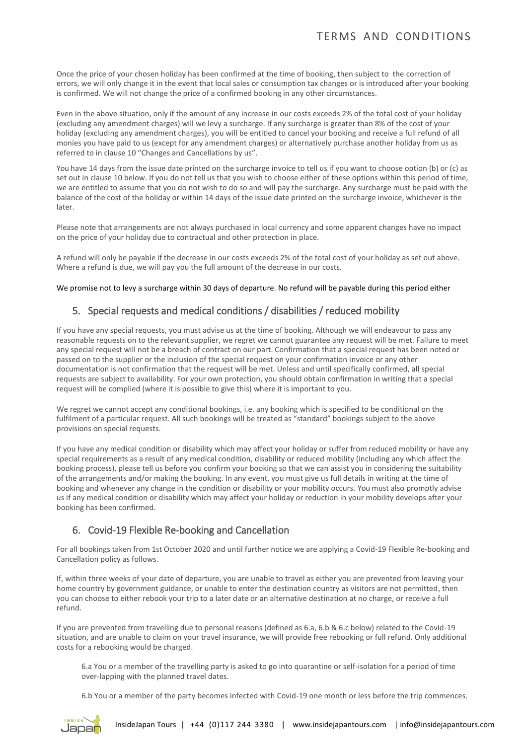Once the price of your chosen holiday has been confirmed at the time of booking, then subject to the correction of errors, we will only change it in the event that local sales or consumption tax changes or is introduced after your booking is confirmed. We will not change the price of a confirmed booking in any other circumstances.

Even in the above situation, only if the amount of any increase in our costs exceeds 2% of the total cost of your holiday (excluding any amendment charges) will we levy a surcharge. If any surcharge is greater than 8% of the cost of your holiday (excluding any amendment charges), you will be entitled to cancel your booking and receive a full refund of all monies you have paid to us (except for any amendment charges) or alternatively purchase another holiday from us as referred to in clause 10 "Changes and Cancellations by us".

You have 14 days from the issue date printed on the surcharge invoice to tell us if you want to choose option (b) or (c) as set out in clause 10 below. If you do not tell us that you wish to choose either of these options within this period of time, we are entitled to assume that you do not wish to do so and will pay the surcharge. Any surcharge must be paid with the balance of the cost of the holiday or within 14 days of the issue date printed on the surcharge invoice, whichever is the later.

Please note that arrangements are not always purchased in local currency and some apparent changes have no impact on the price of your holiday due to contractual and other protection in place.

A refund will only be payable if the decrease in our costs exceeds 2% of the total cost of your holiday as set out above. Where a refund is due, we will pay you the full amount of the decrease in our costs.

<span id="page-2-0"></span>We promise not to levy a surcharge within 30 days of departure. No refund will be payable during this period either

### 5. Special requests and medical conditions / disabilities / reduced mobility

If you have any special requests, you must advise us at the time of booking. Although we will endeavour to pass any reasonable requests on to the relevant supplier, we regret we cannot guarantee any request will be met. Failure to meet any special request will not be a breach of contract on our part. Confirmation that a special request has been noted or passed on to the supplier or the inclusion of the special request on your confirmation invoice or any other documentation is not confirmation that the request will be met. Unless and until specifically confirmed, all special requests are subject to availability. For your own protection, you should obtain confirmation in writing that a special request will be complied (where it is possible to give this) where it is important to you.

We regret we cannot accept any conditional bookings, i.e. any booking which is specified to be conditional on the fulfilment of a particular request. All such bookings will be treated as "standard" bookings subject to the above provisions on special requests.

If you have any medical condition or disability which may affect your holiday or suffer from reduced mobility or have any special requirements as a result of any medical condition, disability or reduced mobility (including any which affect the booking process), please tell us before you confirm your booking so that we can assist you in considering the suitability of the arrangements and/or making the booking. In any event, you must give us full details in writing at the time of booking and whenever any change in the condition or disability or your mobility occurs. You must also promptly advise us if any medical condition or disability which may affect your holiday or reduction in your mobility develops after your booking has been confirmed.

# <span id="page-2-1"></span>6. Covid-19 Flexible Re-booking and Cancellation

For all bookings taken from 1st October 2020 and until further notice we are applying a Covid-19 Flexible Re-booking and Cancellation policy as follows.

If, within three weeks of your date of departure, you are unable to travel as either you are prevented from leaving your home country by government guidance, or unable to enter the destination country as visitors are not permitted, then you can choose to either rebook your trip to a later date or an alternative destination at no charge, or receive a full refund.

If you are prevented from travelling due to personal reasons (defined as 6.a, 6.b & 6.c below) related to the Covid-19 situation, and are unable to claim on your travel insurance, we will provide free rebooking or full refund. Only additional costs for a rebooking would be charged.

6.a You or a member of the travelling party is asked to go into quarantine or self-isolation for a period of time over-lapping with the planned travel dates.

6.b You or a member of the party becomes infected with Covid-19 one month or less before the trip commences.

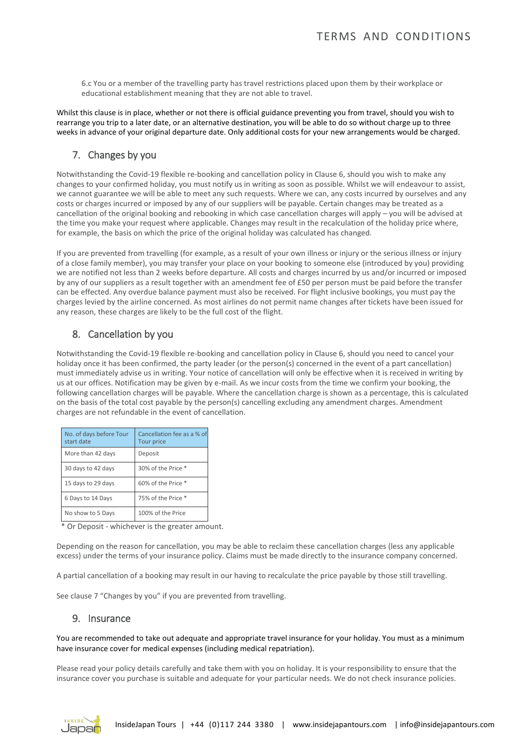6.c You or a member of the travelling party has travel restrictions placed upon them by their workplace or educational establishment meaning that they are not able to travel.

Whilst this clause is in place, whether or not there is official guidance preventing you from travel, should you wish to rearrange you trip to a later date, or an alternative destination, you will be able to do so without charge up to three weeks in advance of your original departure date. Only additional costs for your new arrangements would be charged.

## <span id="page-3-0"></span>7. Changes by you

Notwithstanding the Covid-19 flexible re-booking and cancellation policy in Clause 6, should you wish to make any changes to your confirmed holiday, you must notify us in writing as soon as possible. Whilst we will endeavour to assist, we cannot guarantee we will be able to meet any such requests. Where we can, any costs incurred by ourselves and any costs or charges incurred or imposed by any of our suppliers will be payable. Certain changes may be treated as a cancellation of the original booking and rebooking in which case cancellation charges will apply – you will be advised at the time you make your request where applicable. Changes may result in the recalculation of the holiday price where, for example, the basis on which the price of the original holiday was calculated has changed.

If you are prevented from travelling (for example, as a result of your own illness or injury or the serious illness or injury of a close family member), you may transfer your place on your booking to someone else (introduced by you) providing we are notified not less than 2 weeks before departure. All costs and charges incurred by us and/or incurred or imposed by any of our suppliers as a result together with an amendment fee of £50 per person must be paid before the transfer can be effected. Any overdue balance payment must also be received. For flight inclusive bookings, you must pay the charges levied by the airline concerned. As most airlines do not permit name changes after tickets have been issued for any reason, these charges are likely to be the full cost of the flight.

# <span id="page-3-1"></span>8. Cancellation by you

Notwithstanding the Covid-19 flexible re-booking and cancellation policy in Clause 6, should you need to cancel your holiday once it has been confirmed, the party leader (or the person(s) concerned in the event of a part cancellation) must immediately advise us in writing. Your notice of cancellation will only be effective when it is received in writing by us at our offices. Notification may be given by e-mail. As we incur costs from the time we confirm your booking, the following cancellation charges will be payable. Where the cancellation charge is shown as a percentage, this is calculated on the basis of the total cost payable by the person(s) cancelling excluding any amendment charges. Amendment charges are not refundable in the event of cancellation.

| No. of days before Tour<br>start date | Cancellation fee as a % of<br>Tour price |
|---------------------------------------|------------------------------------------|
| More than 42 days                     | Deposit                                  |
| 30 days to 42 days                    | 30% of the Price *                       |
| 15 days to 29 days                    | 60% of the Price *                       |
| 6 Days to 14 Days                     | 75% of the Price *                       |
| No show to 5 Days                     | 100% of the Price                        |

\* Or Deposit - whichever is the greater amount.

Depending on the reason for cancellation, you may be able to reclaim these cancellation charges (less any applicable excess) under the terms of your insurance policy. Claims must be made directly to the insurance company concerned.

A partial cancellation of a booking may result in our having to recalculate the price payable by those still travelling.

<span id="page-3-2"></span>See clause 7 "Changes by you" if you are prevented from travelling.

### 9. Insurance

You are recommended to take out adequate and appropriate travel insurance for your holiday. You must as a minimum have insurance cover for medical expenses (including medical repatriation).

Please read your policy details carefully and take them with you on holiday. It is your responsibility to ensure that the insurance cover you purchase is suitable and adequate for your particular needs. We do not check insurance policies.

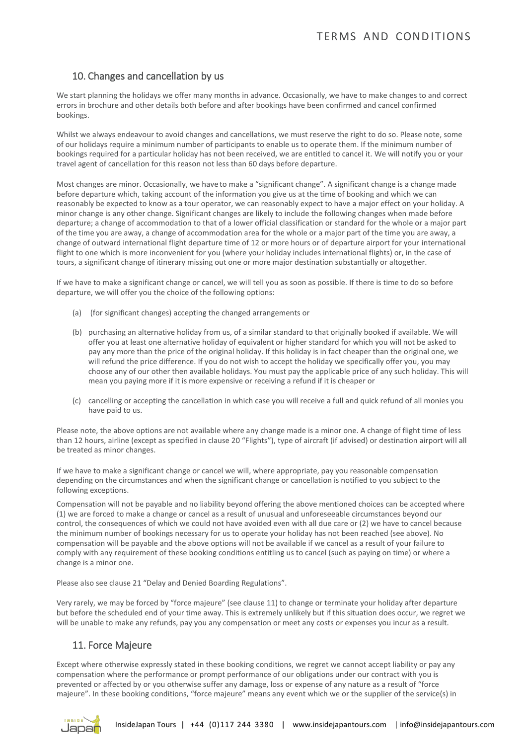### <span id="page-4-0"></span>10. Changes and cancellation by us

We start planning the holidays we offer many months in advance. Occasionally, we have to make changes to and correct errors in brochure and other details both before and after bookings have been confirmed and cancel confirmed bookings.

Whilst we always endeavour to avoid changes and cancellations, we must reserve the right to do so. Please note, some of our holidays require a minimum number of participants to enable us to operate them. If the minimum number of bookings required for a particular holiday has not been received, we are entitled to cancel it. We will notify you or your travel agent of cancellation for this reason not less than 60 days before departure.

Most changes are minor. Occasionally, we have to make a "significant change". A significant change is a change made before departure which, taking account of the information you give us at the time of booking and which we can reasonably be expected to know as a tour operator, we can reasonably expect to have a major effect on your holiday. A minor change is any other change. Significant changes are likely to include the following changes when made before departure; a change of accommodation to that of a lower official classification or standard for the whole or a major part of the time you are away, a change of accommodation area for the whole or a major part of the time you are away, a change of outward international flight departure time of 12 or more hours or of departure airport for your international flight to one which is more inconvenient for you (where your holiday includes international flights) or, in the case of tours, a significant change of itinerary missing out one or more major destination substantially or altogether.

If we have to make a significant change or cancel, we will tell you as soon as possible. If there is time to do so before departure, we will offer you the choice of the following options:

- (a) (for significant changes) accepting the changed arrangements or
- (b) purchasing an alternative holiday from us, of a similar standard to that originally booked if available. We will offer you at least one alternative holiday of equivalent or higher standard for which you will not be asked to pay any more than the price of the original holiday. If this holiday is in fact cheaper than the original one, we will refund the price difference. If you do not wish to accept the holiday we specifically offer you, you may choose any of our other then available holidays. You must pay the applicable price of any such holiday. This will mean you paying more if it is more expensive or receiving a refund if it is cheaper or
- (c) cancelling or accepting the cancellation in which case you will receive a full and quick refund of all monies you have paid to us.

Please note, the above options are not available where any change made is a minor one. A change of flight time of less than 12 hours, airline (except as specified in clause 20 "Flights"), type of aircraft (if advised) or destination airport will all be treated as minor changes.

If we have to make a significant change or cancel we will, where appropriate, pay you reasonable compensation depending on the circumstances and when the significant change or cancellation is notified to you subject to the following exceptions.

Compensation will not be payable and no liability beyond offering the above mentioned choices can be accepted where (1) we are forced to make a change or cancel as a result of unusual and unforeseeable circumstances beyond our control, the consequences of which we could not have avoided even with all due care or (2) we have to cancel because the minimum number of bookings necessary for us to operate your holiday has not been reached (see above). No compensation will be payable and the above options will not be available if we cancel as a result of your failure to comply with any requirement of these booking conditions entitling us to cancel (such as paying on time) or where a change is a minor one.

Please also see clause 21 "Delay and Denied Boarding Regulations".

Very rarely, we may be forced by "force majeure" (see clause 11) to change or terminate your holiday after departure but before the scheduled end of your time away. This is extremely unlikely but if this situation does occur, we regret we will be unable to make any refunds, pay you any compensation or meet any costs or expenses you incur as a result.

### <span id="page-4-1"></span>11. Force Majeure

Except where otherwise expressly stated in these booking conditions, we regret we cannot accept liability or pay any compensation where the performance or prompt performance of our obligations under our contract with you is prevented or affected by or you otherwise suffer any damage, loss or expense of any nature as a result of "force majeure". In these booking conditions, "force majeure" means any event which we or the supplier of the service(s) in

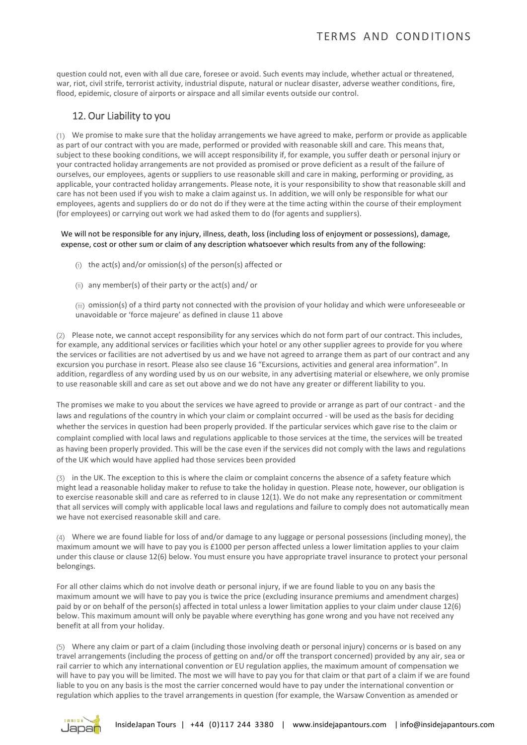question could not, even with all due care, foresee or avoid. Such events may include, whether actual or threatened, war, riot, civil strife, terrorist activity, industrial dispute, natural or nuclear disaster, adverse weather conditions, fire, flood, epidemic, closure of airports or airspace and all similar events outside our control.

## <span id="page-5-0"></span>12. Our Liability to you

We promise to make sure that the holiday arrangements we have agreed to make, perform or provide as applicable as part of our contract with you are made, performed or provided with reasonable skill and care. This means that, subject to these booking conditions, we will accept responsibility if, for example, you suffer death or personal injury or your contracted holiday arrangements are not provided as promised or prove deficient as a result of the failure of ourselves, our employees, agents or suppliers to use reasonable skill and care in making, performing or providing, as applicable, your contracted holiday arrangements. Please note, it is your responsibility to show that reasonable skill and care has not been used if you wish to make a claim against us. In addition, we will only be responsible for what our employees, agents and suppliers do or do not do if they were at the time acting within the course of their employment (for employees) or carrying out work we had asked them to do (for agents and suppliers).

#### We will not be responsible for any injury, illness, death, loss (including loss of enjoyment or possessions), damage, expense, cost or other sum or claim of any description whatsoever which results from any of the following:

- (i) the  $act(s)$  and/or omission(s) of the person(s) affected or
- any member(s) of their party or the act(s) and/ or
- (iii) omission(s) of a third party not connected with the provision of your holiday and which were unforeseeable or unavoidable or 'force majeure' as defined in clause 11 above

(2) Please note, we cannot accept responsibility for any services which do not form part of our contract. This includes, for example, any additional services or facilities which your hotel or any other supplier agrees to provide for you where the services or facilities are not advertised by us and we have not agreed to arrange them as part of our contract and any excursion you purchase in resort. Please also see clause 16 "Excursions, activities and general area information". In addition, regardless of any wording used by us on our website, in any advertising material or elsewhere, we only promise to use reasonable skill and care as set out above and we do not have any greater or different liability to you.

The promises we make to you about the services we have agreed to provide or arrange as part of our contract - and the laws and regulations of the country in which your claim or complaint occurred - will be used as the basis for deciding whether the services in question had been properly provided. If the particular services which gave rise to the claim or complaint complied with local laws and regulations applicable to those services at the time, the services will be treated as having been properly provided. This will be the case even if the services did not comply with the laws and regulations of the UK which would have applied had those services been provided

in the UK. The exception to this is where the claim or complaint concerns the absence of a safety feature which might lead a reasonable holiday maker to refuse to take the holiday in question. Please note, however, our obligation is to exercise reasonable skill and care as referred to in clause 12(1). We do not make any representation or commitment that all services will comply with applicable local laws and regulations and failure to comply does not automatically mean we have not exercised reasonable skill and care.

Where we are found liable for loss of and/or damage to any luggage or personal possessions (including money), the maximum amount we will have to pay you is £1000 per person affected unless a lower limitation applies to your claim under this clause or clause 12(6) below. You must ensure you have appropriate travel insurance to protect your personal belongings.

For all other claims which do not involve death or personal injury, if we are found liable to you on any basis the maximum amount we will have to pay you is twice the price (excluding insurance premiums and amendment charges) paid by or on behalf of the person(s) affected in total unless a lower limitation applies to your claim under clause 12(6) below. This maximum amount will only be payable where everything has gone wrong and you have not received any benefit at all from your holiday.

Where any claim or part of a claim (including those involving death or personal injury) concerns or is based on any travel arrangements (including the process of getting on and/or off the transport concerned) provided by any air, sea or rail carrier to which any international convention or EU regulation applies, the maximum amount of compensation we will have to pay you will be limited. The most we will have to pay you for that claim or that part of a claim if we are found liable to you on any basis is the most the carrier concerned would have to pay under the international convention or regulation which applies to the travel arrangements in question (for example, the Warsaw Convention as amended or

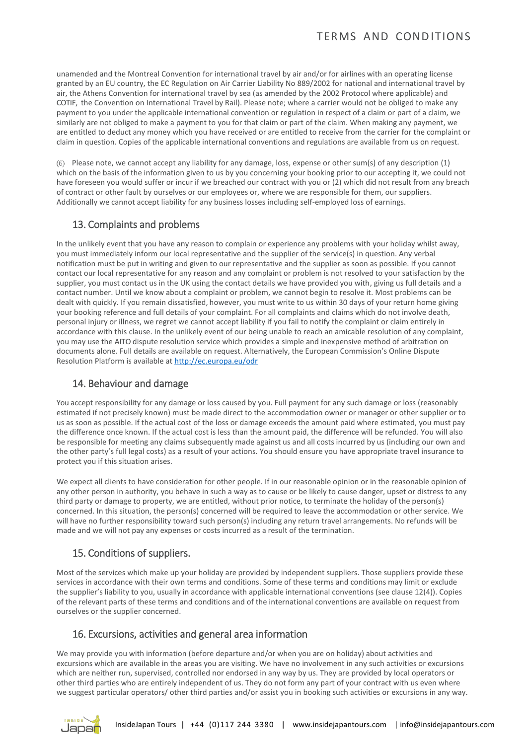unamended and the Montreal Convention for international travel by air and/or for airlines with an operating license granted by an EU country, the EC Regulation on Air Carrier Liability No 889/2002 for national and international travel by air, the Athens Convention for international travel by sea (as amended by the 2002 Protocol where applicable) and COTIF, the Convention on International Travel by Rail). Please note; where a carrier would not be obliged to make any payment to you under the applicable international convention or regulation in respect of a claim or part of a claim, we similarly are not obliged to make a payment to you for that claim or part of the claim. When making any payment, we are entitled to deduct any money which you have received or are entitled to receive from the carrier for the complaint or claim in question. Copies of the applicable international conventions and regulations are available from us on request.

Please note, we cannot accept any liability for any damage, loss, expense or other sum(s) of any description (1) which on the basis of the information given to us by you concerning your booking prior to our accepting it, we could not have foreseen you would suffer or incur if we breached our contract with you or (2) which did not result from any breach of contract or other fault by ourselves or our employees or, where we are responsible for them, our suppliers. Additionally we cannot accept liability for any business losses including self-employed loss of earnings.

# <span id="page-6-0"></span>13. Complaints and problems

In the unlikely event that you have any reason to complain or experience any problems with your holiday whilst away, you must immediately inform our local representative and the supplier of the service(s) in question. Any verbal notification must be put in writing and given to our representative and the supplier as soon as possible. If you cannot contact our local representative for any reason and any complaint or problem is not resolved to your satisfaction by the supplier, you must contact us in the UK using the contact details we have provided you with, giving us full details and a contact number. Until we know about a complaint or problem, we cannot begin to resolve it. Most problems can be dealt with quickly. If you remain dissatisfied, however, you must write to us within 30 days of your return home giving your booking reference and full details of your complaint. For all complaints and claims which do not involve death, personal injury or illness, we regret we cannot accept liability if you fail to notify the complaint or claim entirely in accordance with this clause. In the unlikely event of our being unable to reach an amicable resolution of any complaint, you may use the AITO dispute resolution service which provides a simple and inexpensive method of arbitration on documents alone. Full details are available on request. Alternatively, the European Commission's Online Dispute Resolution Platform is available at<http://ec.europa.eu/odr>

# <span id="page-6-1"></span>14. Behaviour and damage

You accept responsibility for any damage or loss caused by you. Full payment for any such damage or loss (reasonably estimated if not precisely known) must be made direct to the accommodation owner or manager or other supplier or to us as soon as possible. If the actual cost of the loss or damage exceeds the amount paid where estimated, you must pay the difference once known. If the actual cost is less than the amount paid, the difference will be refunded. You will also be responsible for meeting any claims subsequently made against us and all costs incurred by us (including our own and the other party's full legal costs) as a result of your actions. You should ensure you have appropriate travel insurance to protect you if this situation arises.

We expect all clients to have consideration for other people. If in our reasonable opinion or in the reasonable opinion of any other person in authority, you behave in such a way as to cause or be likely to cause danger, upset or distress to any third party or damage to property, we are entitled, without prior notice, to terminate the holiday of the person(s) concerned. In this situation, the person(s) concerned will be required to leave the accommodation or other service. We will have no further responsibility toward such person(s) including any return travel arrangements. No refunds will be made and we will not pay any expenses or costs incurred as a result of the termination.

# <span id="page-6-2"></span>15. Conditions of suppliers.

Most of the services which make up your holiday are provided by independent suppliers. Those suppliers provide these services in accordance with their own terms and conditions. Some of these terms and conditions may limit or exclude the supplier's liability to you, usually in accordance with applicable international conventions (see clause 12(4)). Copies of the relevant parts of these terms and conditions and of the international conventions are available on request from ourselves or the supplier concerned.

# <span id="page-6-3"></span>16. Excursions, activities and general area information

We may provide you with information (before departure and/or when you are on holiday) about activities and excursions which are available in the areas you are visiting. We have no involvement in any such activities or excursions which are neither run, supervised, controlled nor endorsed in any way by us. They are provided by local operators or other third parties who are entirely independent of us. They do not form any part of your contract with us even where we suggest particular operators/ other third parties and/or assist you in booking such activities or excursions in any way.

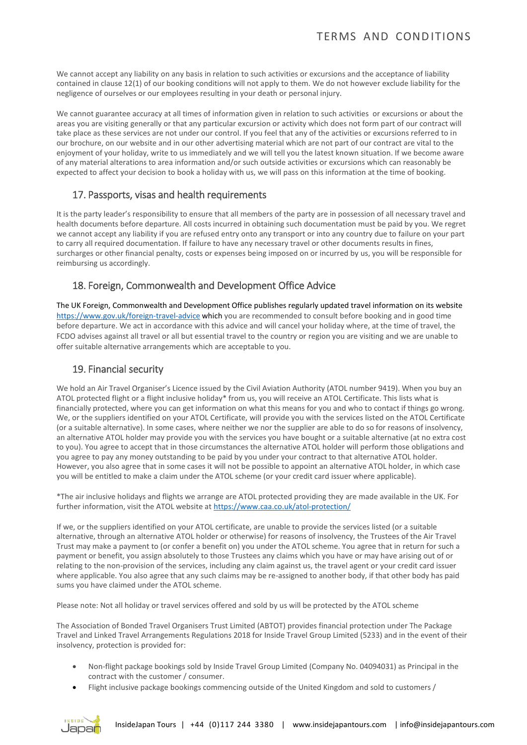We cannot accept any liability on any basis in relation to such activities or excursions and the acceptance of liability contained in clause 12(1) of our booking conditions will not apply to them. We do not however exclude liability for the negligence of ourselves or our employees resulting in your death or personal injury.

We cannot guarantee accuracy at all times of information given in relation to such activities or excursions or about the areas you are visiting generally or that any particular excursion or activity which does not form part of our contract will take place as these services are not under our control. If you feel that any of the activities or excursions referred to in our brochure, on our website and in our other advertising material which are not part of our contract are vital to the enjoyment of your holiday, write to us immediately and we will tell you the latest known situation. If we become aware of any material alterations to area information and/or such outside activities or excursions which can reasonably be expected to affect your decision to book a holiday with us, we will pass on this information at the time of booking.

# <span id="page-7-0"></span>17. Passports, visas and health requirements

It is the party leader's responsibility to ensure that all members of the party are in possession of all necessary travel and health documents before departure. All costs incurred in obtaining such documentation must be paid by you. We regret we cannot accept any liability if you are refused entry onto any transport or into any country due to failure on your part to carry all required documentation. If failure to have any necessary travel or other documents results in fines, surcharges or other financial penalty, costs or expenses being imposed on or incurred by us, you will be responsible for reimbursing us accordingly.

# <span id="page-7-1"></span>18. Foreign, Commonwealth and Development Office Advice

The UK Foreign, Commonwealth and Development Office publishes regularly updated travel information on its website <https://www.gov.uk/foreign-travel-advice> which you are recommended to consult before booking and in good time before departure. We act in accordance with this advice and will cancel your holiday where, at the time of travel, the FCDO advises against all travel or all but essential travel to the country or region you are visiting and we are unable to offer suitable alternative arrangements which are acceptable to you.

### <span id="page-7-2"></span>19. Financial security

We hold an Air Travel Organiser's Licence issued by the Civil Aviation Authority (ATOL number 9419). When you buy an ATOL protected flight or a flight inclusive holiday\* from us, you will receive an ATOL Certificate. This lists what is financially protected, where you can get information on what this means for you and who to contact if things go wrong. We, or the suppliers identified on your ATOL Certificate, will provide you with the services listed on the ATOL Certificate (or a suitable alternative). In some cases, where neither we nor the supplier are able to do so for reasons of insolvency, an alternative ATOL holder may provide you with the services you have bought or a suitable alternative (at no extra cost to you). You agree to accept that in those circumstances the alternative ATOL holder will perform those obligations and you agree to pay any money outstanding to be paid by you under your contract to that alternative ATOL holder. However, you also agree that in some cases it will not be possible to appoint an alternative ATOL holder, in which case you will be entitled to make a claim under the ATOL scheme (or your credit card issuer where applicable).

\*The air inclusive holidays and flights we arrange are ATOL protected providing they are made available in the UK. For further information, visit the ATOL website a[t https://www.caa.co.uk/atol-protection/](https://www.caa.co.uk/atol-protection/)

If we, or the suppliers identified on your ATOL certificate, are unable to provide the services listed (or a suitable alternative, through an alternative ATOL holder or otherwise) for reasons of insolvency, the Trustees of the Air Travel Trust may make a payment to (or confer a benefit on) you under the ATOL scheme. You agree that in return for such a payment or benefit, you assign absolutely to those Trustees any claims which you have or may have arising out of or relating to the non-provision of the services, including any claim against us, the travel agent or your credit card issuer where applicable. You also agree that any such claims may be re-assigned to another body, if that other body has paid sums you have claimed under the ATOL scheme.

Please note: Not all holiday or travel services offered and sold by us will be protected by the ATOL scheme

The Association of Bonded Travel Organisers Trust Limited (ABTOT) provides financial protection under The Package Travel and Linked Travel Arrangements Regulations 2018 for Inside Travel Group Limited (5233) and in the event of their insolvency, protection is provided for:

- Non-flight package bookings sold by Inside Travel Group Limited (Company No. 04094031) as Principal in the contract with the customer / consumer.
- Flight inclusive package bookings commencing outside of the United Kingdom and sold to customers /

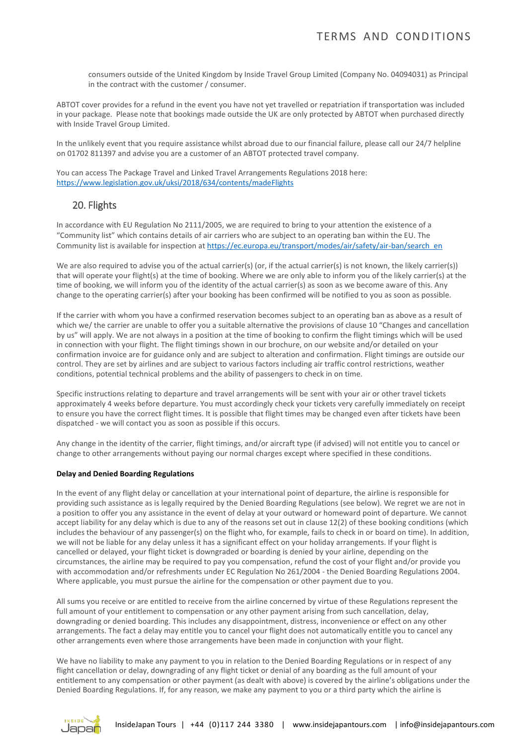consumers outside of the United Kingdom by Inside Travel Group Limited (Company No. 04094031) as Principal in the contract with the customer / consumer.

ABTOT cover provides for a refund in the event you have not yet travelled or repatriation if transportation was included in your package. Please note that bookings made outside the UK are only protected by ABTOT when purchased directly with Inside Travel Group Limited.

In the unlikely event that you require assistance whilst abroad due to our financial failure, please call our 24/7 helpline on 01702 811397 and advise you are a customer of an ABTOT protected travel company.

<span id="page-8-0"></span>You can access The Package Travel and Linked Travel Arrangements Regulations 2018 here: <https://www.legislation.gov.uk/uksi/2018/634/contents/madeFlights>

### 20. Flights

In accordance with EU Regulation No 2111/2005, we are required to bring to your attention the existence of a "Community list" which contains details of air carriers who are subject to an operating ban within the EU. The Community list is available for inspection at [https://ec.europa.eu/transport/modes/air/safety/air-ban/search\\_en](https://ec.europa.eu/transport/modes/air/safety/air-ban/search_en)

We are also required to advise you of the actual carrier(s) (or, if the actual carrier(s) is not known, the likely carrier(s)) that will operate your flight(s) at the time of booking. Where we are only able to inform you of the likely carrier(s) at the time of booking, we will inform you of the identity of the actual carrier(s) as soon as we become aware of this. Any change to the operating carrier(s) after your booking has been confirmed will be notified to you as soon as possible.

If the carrier with whom you have a confirmed reservation becomes subject to an operating ban as above as a result of which we/ the carrier are unable to offer you a suitable alternative the provisions of clause 10 "Changes and cancellation by us" will apply. We are not always in a position at the time of booking to confirm the flight timings which will be used in connection with your flight. The flight timings shown in our brochure, on our website and/or detailed on your confirmation invoice are for guidance only and are subject to alteration and confirmation. Flight timings are outside our control. They are set by airlines and are subject to various factors including air traffic control restrictions, weather conditions, potential technical problems and the ability of passengers to check in on time.

Specific instructions relating to departure and travel arrangements will be sent with your air or other travel tickets approximately 4 weeks before departure. You must accordingly check your tickets very carefully immediately on receipt to ensure you have the correct flight times. It is possible that flight times may be changed even after tickets have been dispatched - we will contact you as soon as possible if this occurs.

Any change in the identity of the carrier, flight timings, and/or aircraft type (if advised) will not entitle you to cancel or change to other arrangements without paying our normal charges except where specified in these conditions.

#### **Delay and Denied Boarding Regulations**

In the event of any flight delay or cancellation at your international point of departure, the airline is responsible for providing such assistance as is legally required by the Denied Boarding Regulations (see below). We regret we are not in a position to offer you any assistance in the event of delay at your outward or homeward point of departure. We cannot accept liability for any delay which is due to any of the reasons set out in clause 12(2) of these booking conditions (which includes the behaviour of any passenger(s) on the flight who, for example, fails to check in or board on time). In addition, we will not be liable for any delay unless it has a significant effect on your holiday arrangements. If your flight is cancelled or delayed, your flight ticket is downgraded or boarding is denied by your airline, depending on the circumstances, the airline may be required to pay you compensation, refund the cost of your flight and/or provide you with accommodation and/or refreshments under EC Regulation No 261/2004 - the Denied Boarding Regulations 2004. Where applicable, you must pursue the airline for the compensation or other payment due to you.

All sums you receive or are entitled to receive from the airline concerned by virtue of these Regulations represent the full amount of your entitlement to compensation or any other payment arising from such cancellation, delay, downgrading or denied boarding. This includes any disappointment, distress, inconvenience or effect on any other arrangements. The fact a delay may entitle you to cancel your flight does not automatically entitle you to cancel any other arrangements even where those arrangements have been made in conjunction with your flight.

We have no liability to make any payment to you in relation to the Denied Boarding Regulations or in respect of any flight cancellation or delay, downgrading of any flight ticket or denial of any boarding as the full amount of your entitlement to any compensation or other payment (as dealt with above) is covered by the airline's obligations under the Denied Boarding Regulations. If, for any reason, we make any payment to you or a third party which the airline is